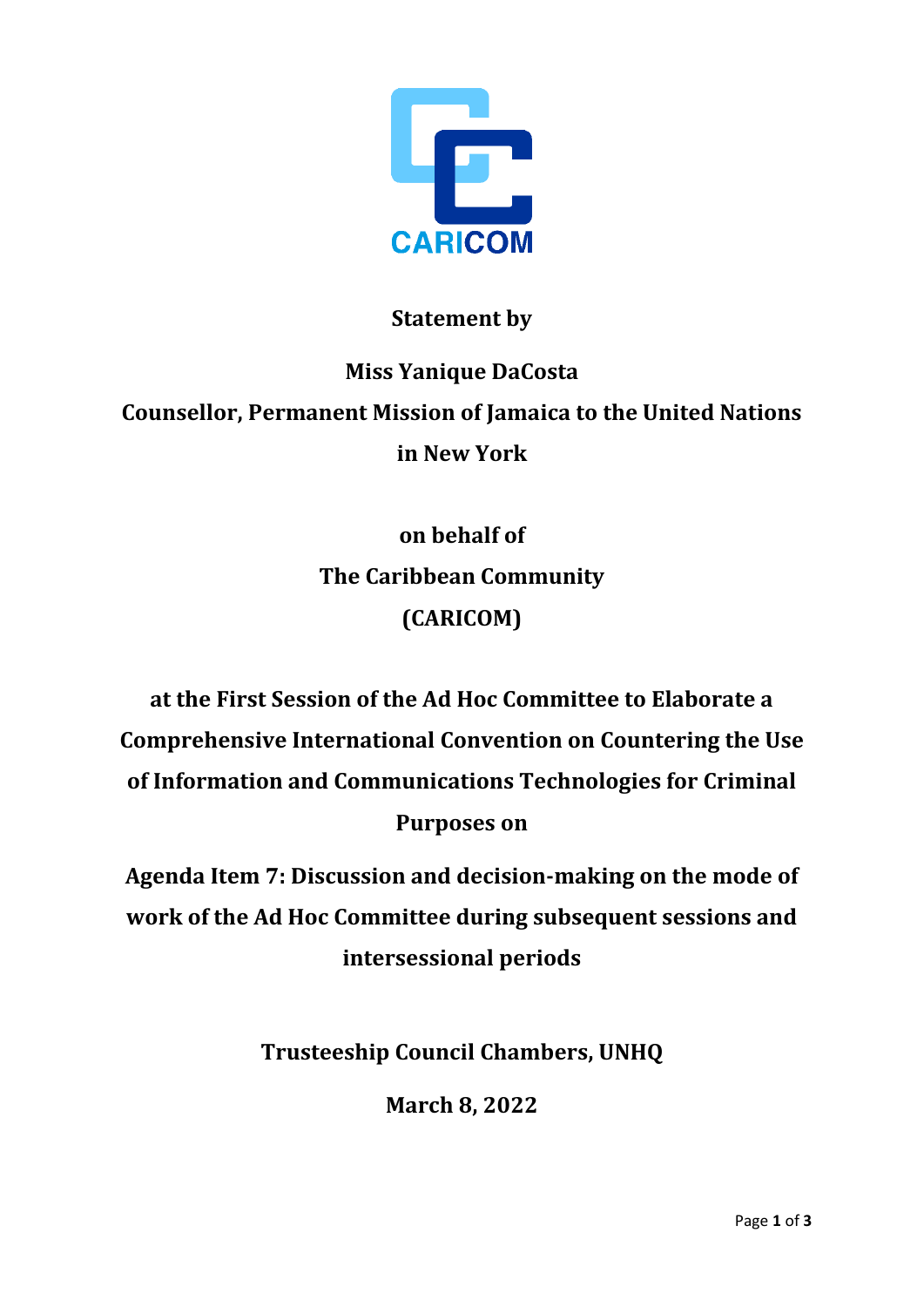

## **Statement by**

## **Miss Yanique DaCosta Counsellor, Permanent Mission of Jamaica to the United Nations in New York**

**on behalf of The Caribbean Community (CARICOM)**

**at the First Session of the Ad Hoc Committee to Elaborate a Comprehensive International Convention on Countering the Use of Information and Communications Technologies for Criminal Purposes on**

**Agenda Item 7: Discussion and decision-making on the mode of work of the Ad Hoc Committee during subsequent sessions and intersessional periods** 

**Trusteeship Council Chambers, UNHQ**

**March 8, 2022**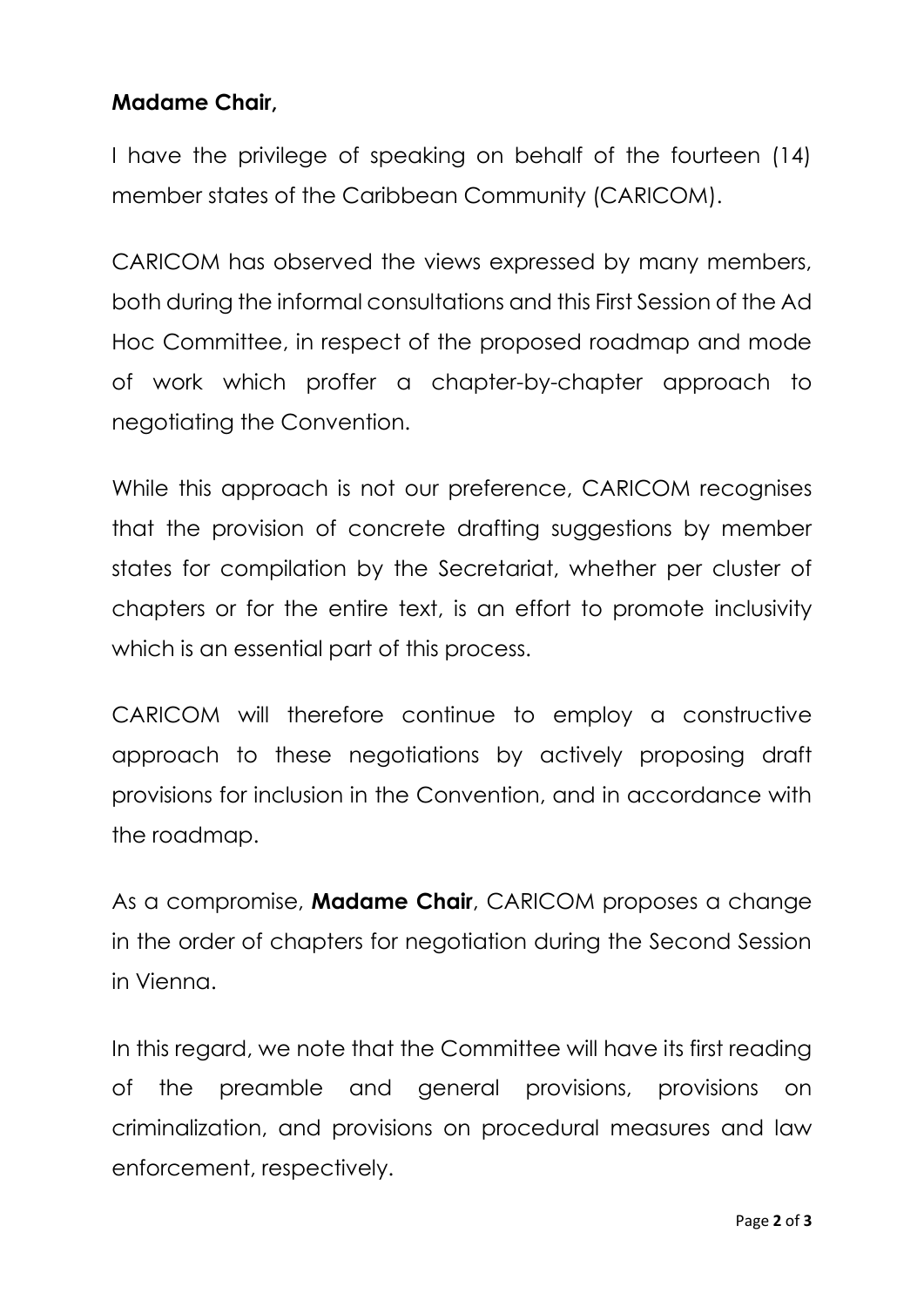## **Madame Chair,**

I have the privilege of speaking on behalf of the fourteen (14) member states of the Caribbean Community (CARICOM).

CARICOM has observed the views expressed by many members, both during the informal consultations and this First Session of the Ad Hoc Committee, in respect of the proposed roadmap and mode of work which proffer a chapter-by-chapter approach to negotiating the Convention.

While this approach is not our preference, CARICOM recognises that the provision of concrete drafting suggestions by member states for compilation by the Secretariat, whether per cluster of chapters or for the entire text, is an effort to promote inclusivity which is an essential part of this process.

CARICOM will therefore continue to employ a constructive approach to these negotiations by actively proposing draft provisions for inclusion in the Convention, and in accordance with the roadmap.

As a compromise, **Madame Chair**, CARICOM proposes a change in the order of chapters for negotiation during the Second Session in Vienna.

In this regard, we note that the Committee will have its first reading of the preamble and general provisions, provisions on criminalization, and provisions on procedural measures and law enforcement, respectively.